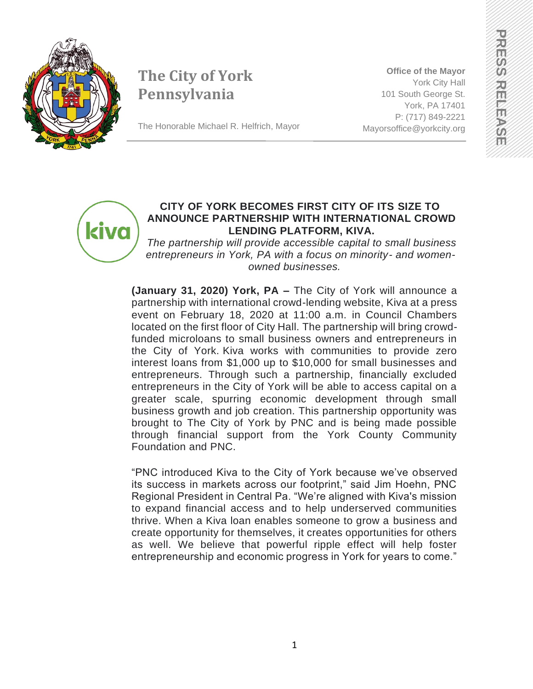

The Honorable Michael R. Helfrich, Mayor

**Office of the Mayor** York City Hall 101 South George St. York, PA 17401 P: (717) 849-2221 Mayorsoffice@yorkcity.org



#### **CITY OF YORK BECOMES FIRST CITY OF ITS SIZE TO ANNOUNCE PARTNERSHIP WITH INTERNATIONAL CROWD LENDING PLATFORM, KIVA.**

*The partnership will provide accessible capital to small business entrepreneurs in York, PA with a focus on minority- and womenowned businesses.*

**(January 31, 2020) York, PA –** The City of York will announce a partnership with international crowd-lending website, Kiva at a press event on February 18, 2020 at 11:00 a.m. in Council Chambers located on the first floor of City Hall. The partnership will bring crowdfunded microloans to small business owners and entrepreneurs in the City of York. Kiva works with communities to provide zero interest loans from \$1,000 up to \$10,000 for small businesses and entrepreneurs. Through such a partnership, financially excluded entrepreneurs in the City of York will be able to access capital on a greater scale, spurring economic development through small business growth and job creation. This partnership opportunity was brought to The City of York by PNC and is being made possible through financial support from the York County Community Foundation and PNC.

"PNC introduced Kiva to the City of York because we've observed its success in markets across our footprint," said Jim Hoehn, PNC Regional President in Central Pa. "We're aligned with Kiva's mission to expand financial access and to help underserved communities thrive. When a Kiva loan enables someone to grow a business and create opportunity for themselves, it creates opportunities for others as well. We believe that powerful ripple effect will help foster entrepreneurship and economic progress in York for years to come."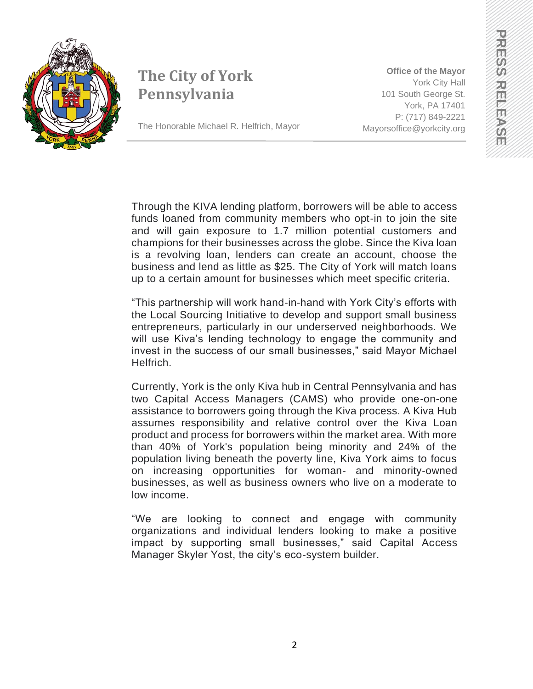

**Office of the Mayor** York City Hall 101 South George St. York, PA 17401 P: (717) 849-2221 Mayorsoffice@yorkcity.org

The Honorable Michael R. Helfrich, Mayor

Through the KIVA lending platform, borrowers will be able to access funds loaned from community members who opt-in to join the site and will gain exposure to 1.7 million potential customers and champions for their businesses across the globe. Since the Kiva loan is a revolving loan, lenders can create an account, choose the business and lend as little as \$25. The City of York will match loans up to a certain amount for businesses which meet specific criteria.

"This partnership will work hand-in-hand with York City's efforts with the Local Sourcing Initiative to develop and support small business entrepreneurs, particularly in our underserved neighborhoods. We will use Kiva's lending technology to engage the community and invest in the success of our small businesses," said Mayor Michael Helfrich.

Currently, York is the only Kiva hub in Central Pennsylvania and has two Capital Access Managers (CAMS) who provide one-on-one assistance to borrowers going through the Kiva process. A Kiva Hub assumes responsibility and relative control over the Kiva Loan product and process for borrowers within the market area. With more than 40% of York's population being minority and 24% of the population living beneath the poverty line, Kiva York aims to focus on increasing opportunities for woman- and minority-owned businesses, as well as business owners who live on a moderate to low income.

"We are looking to connect and engage with community organizations and individual lenders looking to make a positive impact by supporting small businesses," said Capital Access Manager Skyler Yost, the city's eco-system builder.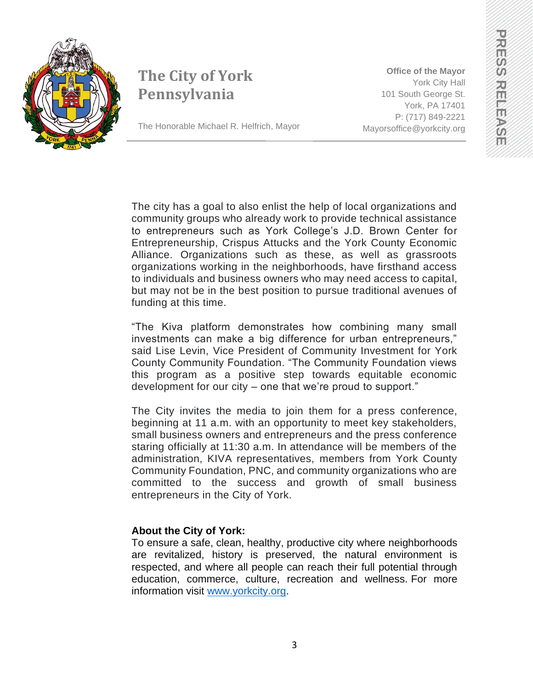

**Office of the Mayor** York City Hall 101 South George St. York, PA 17401 P: (717) 849-2221 Mayorsoffice@yorkcity.org

The Honorable Michael R. Helfrich, Mayor

The city has a goal to also enlist the help of local organizations and community groups who already work to provide technical assistance to entrepreneurs such as York College's J.D. Brown Center for Entrepreneurship, Crispus Attucks and the York County Economic Alliance. Organizations such as these, as well as grassroots organizations working in the neighborhoods, have firsthand access to individuals and business owners who may need access to capital, but may not be in the best position to pursue traditional avenues of funding at this time.

"The Kiva platform demonstrates how combining many small investments can make a big difference for urban entrepreneurs," said Lise Levin, Vice President of Community Investment for York County Community Foundation. "The Community Foundation views this program as a positive step towards equitable economic development for our city – one that we're proud to support."

The City invites the media to join them for a press conference, beginning at 11 a.m. with an opportunity to meet key stakeholders, small business owners and entrepreneurs and the press conference staring officially at 11:30 a.m. In attendance will be members of the administration, KIVA representatives, members from York County Community Foundation, PNC, and community organizations who are committed to the success and growth of small business entrepreneurs in the City of York.

### **About the City of York:**

To ensure a safe, clean, healthy, productive city where neighborhoods are revitalized, history is preserved, the natural environment is respected, and where all people can reach their full potential through education, commerce, culture, recreation and wellness. For more information visit [www.yorkcity.org.](http://www.yorkcity.org/)